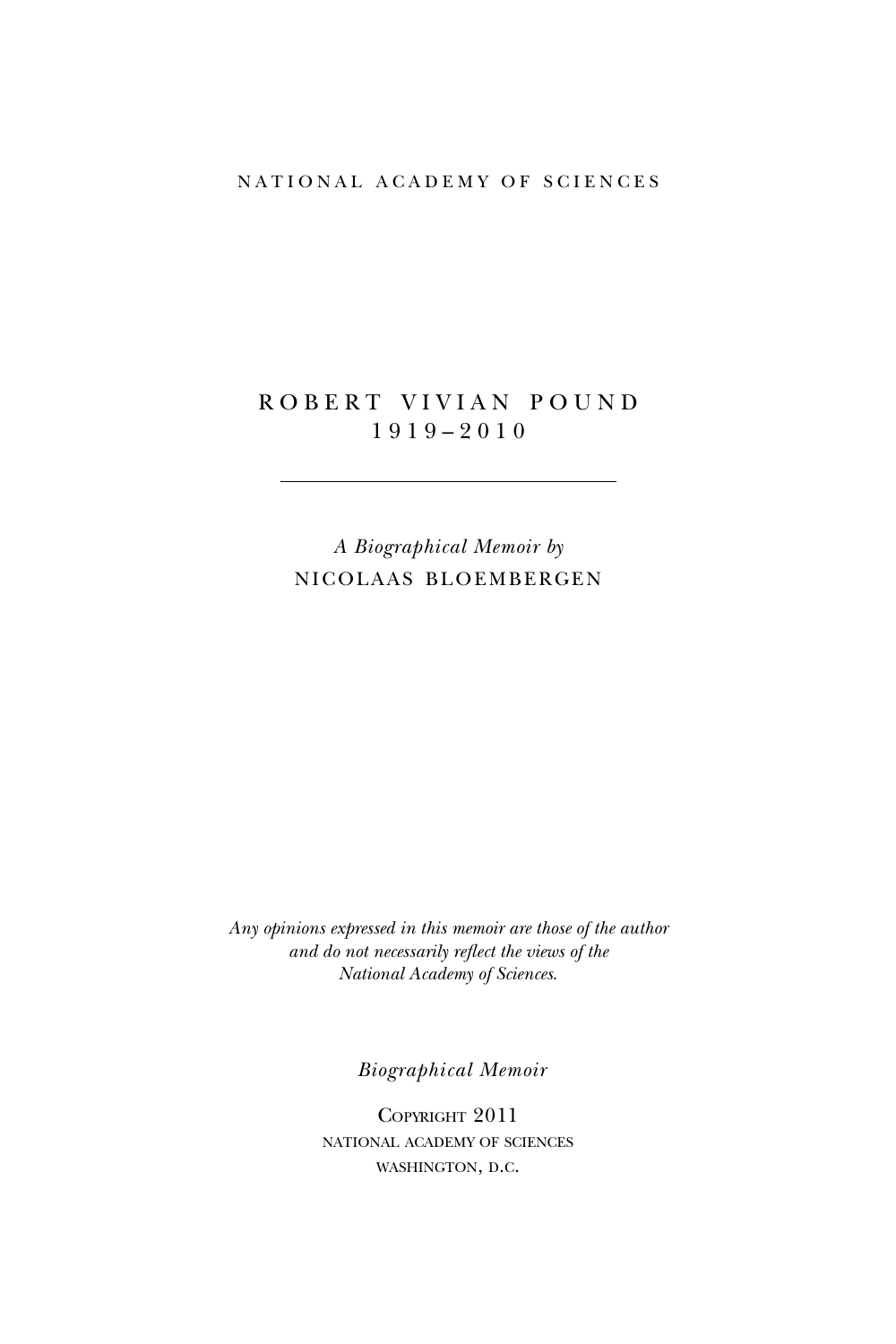## NATIONAL ACADEMY OF SCIENCES

## ROBERT VIVIAN POUND 1 9 1 9 – 2 0 1 0

*A Biographical Memoir by* NICOLAAS BLOEMBERGEN

*Any opinions expressed in this memoir are those of the author and do not necessarily reflect the views of the National Academy of Sciences*.

*Biographical Memoir*

COPYRIGHT 2011 national academy of sciences washington, d.c.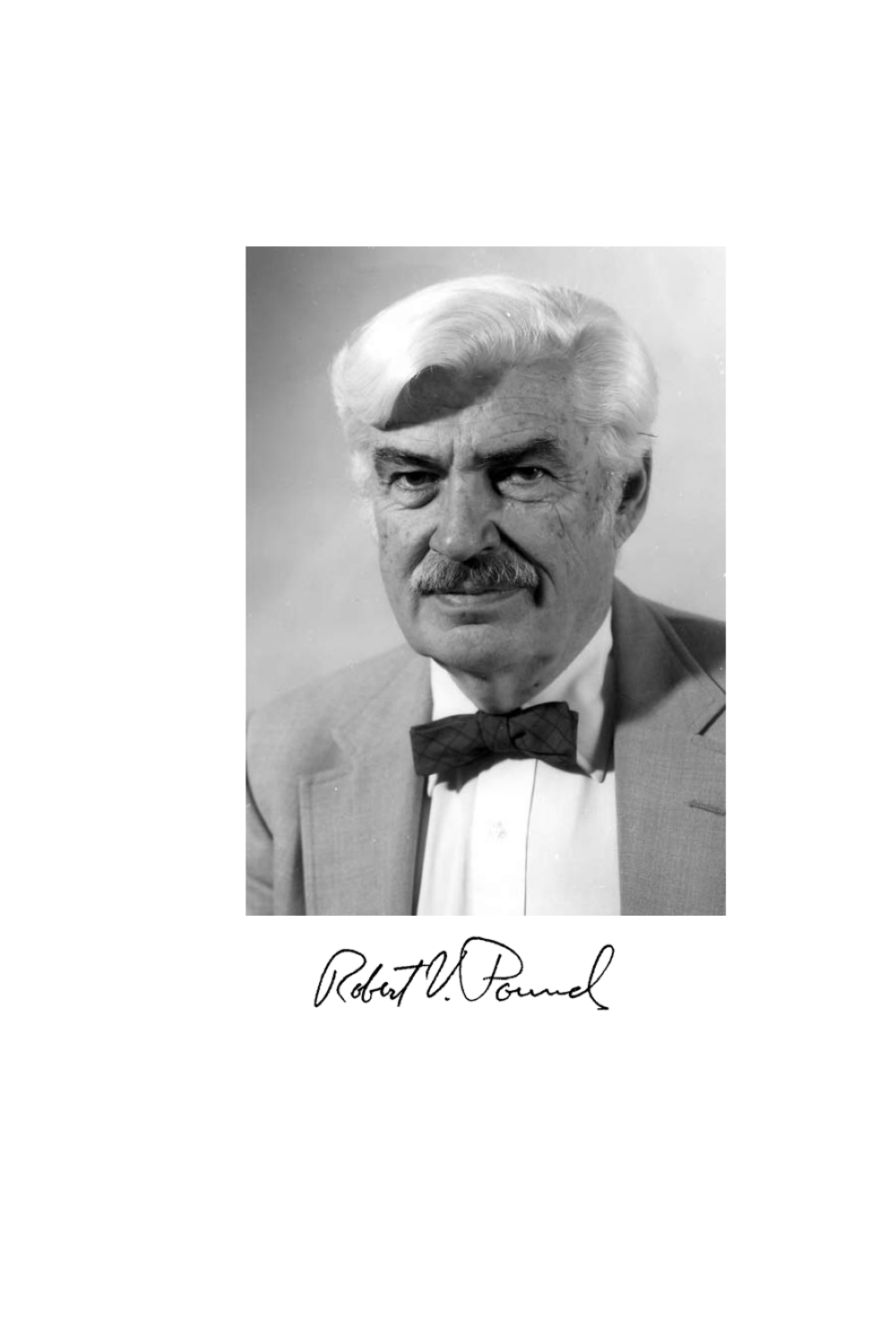

Robert V. Pound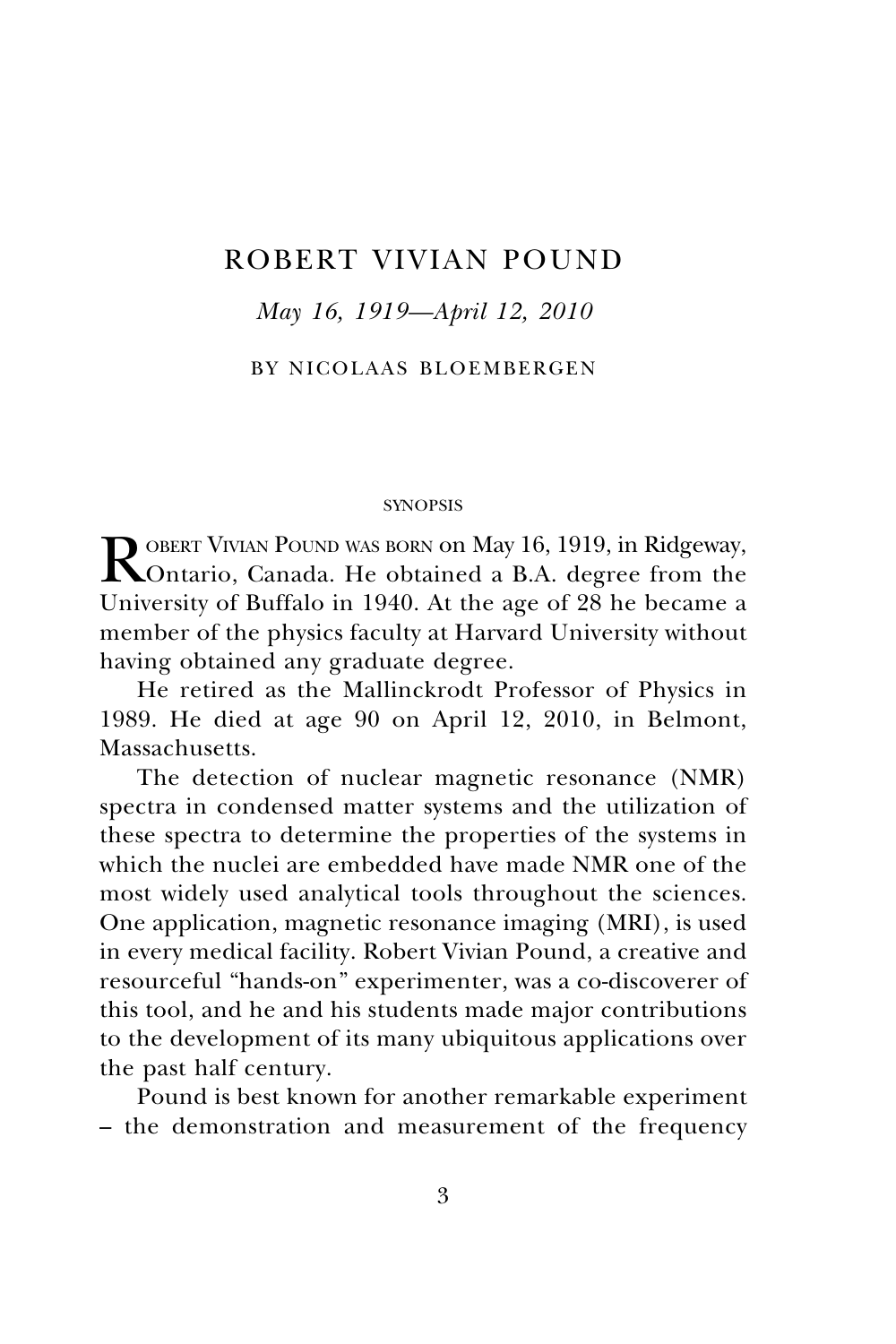# Robert Vivian Pound

## *May 16, 1919—April 12, 2010*

BY NICOLAAS BLOEMBERGEN

### synopsis

**D** OBERT VIVIAN POUND WAS BORN ON May 16, 1919, in Ridgeway, **N**Ontario, Canada. He obtained a B.A. degree from the University of Buffalo in 1940. At the age of 28 he became a member of the physics faculty at Harvard University without having obtained any graduate degree.

He retired as the Mallinckrodt Professor of Physics in 1989. He died at age 90 on April 12, 2010, in Belmont, Massachusetts.

The detection of nuclear magnetic resonance (NMR) spectra in condensed matter systems and the utilization of these spectra to determine the properties of the systems in which the nuclei are embedded have made NMR one of the most widely used analytical tools throughout the sciences. One application, magnetic resonance imaging (MRI), is used in every medical facility. Robert Vivian Pound, a creative and resourceful "hands-on" experimenter, was a co-discoverer of this tool, and he and his students made major contributions to the development of its many ubiquitous applications over the past half century.

Pound is best known for another remarkable experiment – the demonstration and measurement of the frequency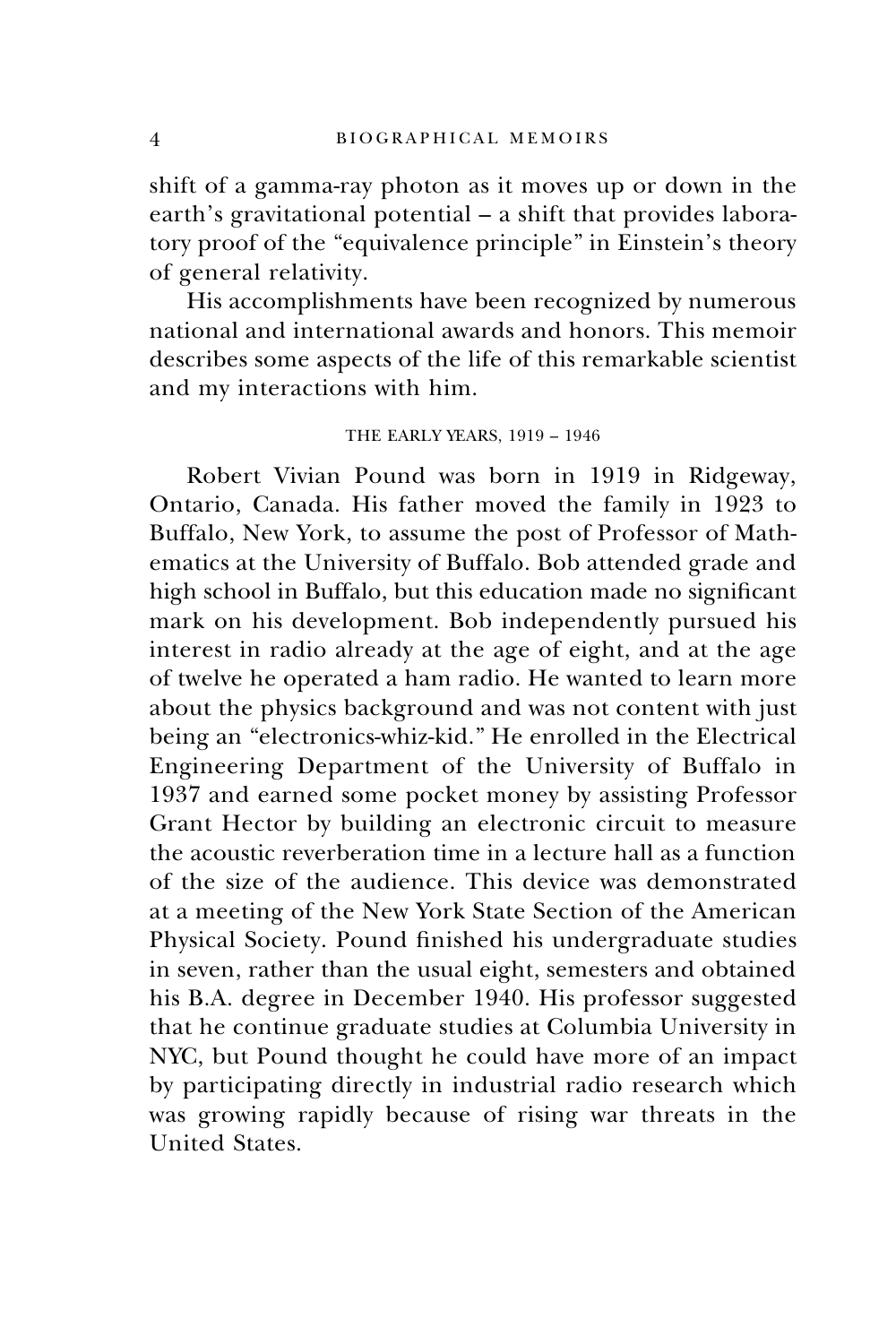shift of a gamma-ray photon as it moves up or down in the earth's gravitational potential – a shift that provides laboratory proof of the "equivalence principle" in Einstein's theory of general relativity.

His accomplishments have been recognized by numerous national and international awards and honors. This memoir describes some aspects of the life of this remarkable scientist and my interactions with him.

## The Early Years, 1919 – 1946

Robert Vivian Pound was born in 1919 in Ridgeway, Ontario, Canada. His father moved the family in 1923 to Buffalo, New York, to assume the post of Professor of Mathematics at the University of Buffalo. Bob attended grade and high school in Buffalo, but this education made no significant mark on his development. Bob independently pursued his interest in radio already at the age of eight, and at the age of twelve he operated a ham radio. He wanted to learn more about the physics background and was not content with just being an "electronics-whiz-kid." He enrolled in the Electrical Engineering Department of the University of Buffalo in 1937 and earned some pocket money by assisting Professor Grant Hector by building an electronic circuit to measure the acoustic reverberation time in a lecture hall as a function of the size of the audience. This device was demonstrated at a meeting of the New York State Section of the American Physical Society. Pound finished his undergraduate studies in seven, rather than the usual eight, semesters and obtained his B.A. degree in December 1940. His professor suggested that he continue graduate studies at Columbia University in NYC, but Pound thought he could have more of an impact by participating directly in industrial radio research which was growing rapidly because of rising war threats in the United States.

 $\overline{4}$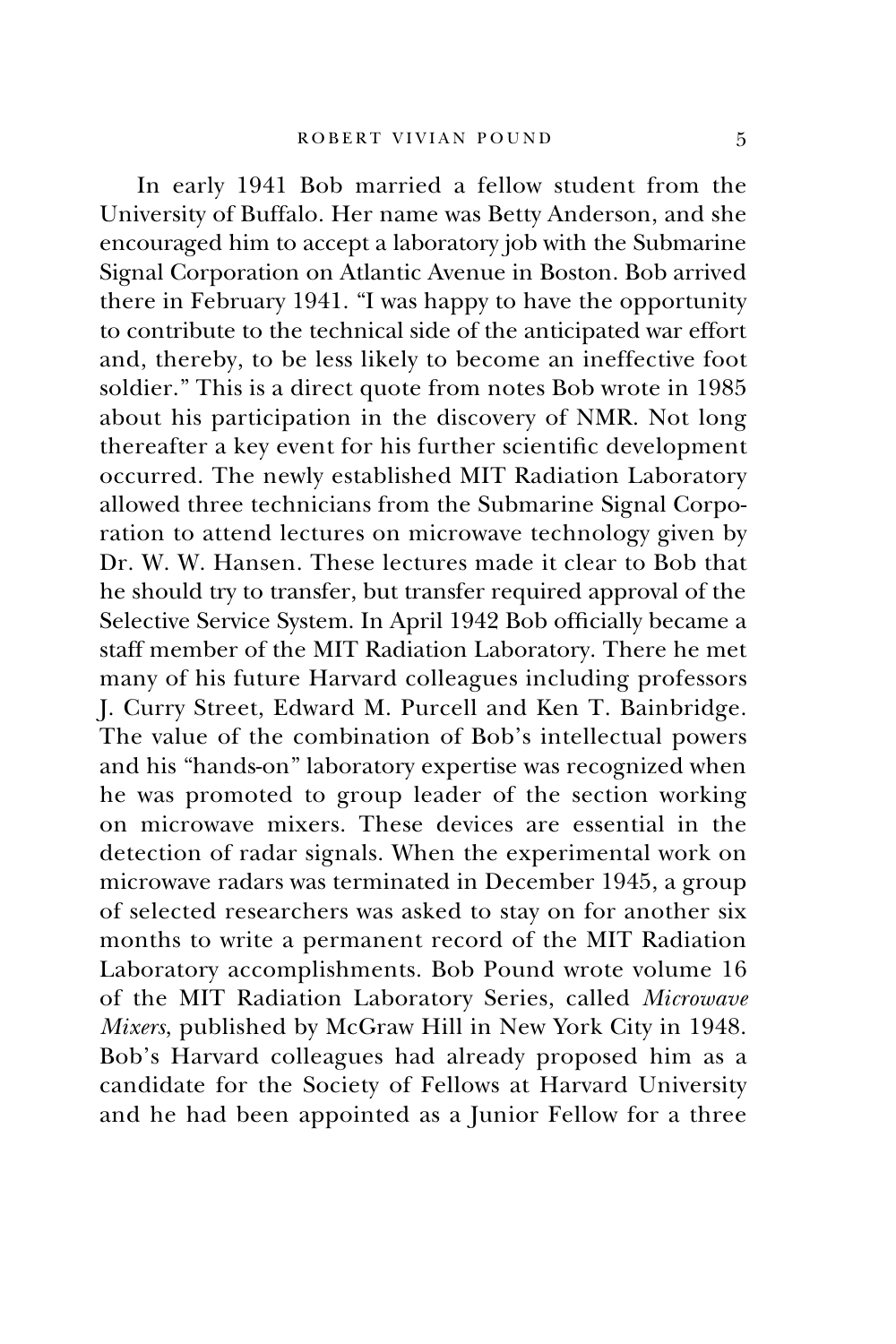In early 1941 Bob married a fellow student from the University of Buffalo. Her name was Betty Anderson, and she encouraged him to accept a laboratory job with the Submarine Signal Corporation on Atlantic Avenue in Boston. Bob arrived there in February 1941. "I was happy to have the opportunity to contribute to the technical side of the anticipated war effort and, thereby, to be less likely to become an ineffective foot soldier." This is a direct quote from notes Bob wrote in 1985 about his participation in the discovery of NMR. Not long thereafter a key event for his further scientific development occurred. The newly established MIT Radiation Laboratory allowed three technicians from the Submarine Signal Corporation to attend lectures on microwave technology given by Dr. W. W. Hansen. These lectures made it clear to Bob that he should try to transfer, but transfer required approval of the Selective Service System. In April 1942 Bob officially became a staff member of the MIT Radiation Laboratory. There he met many of his future Harvard colleagues including professors J. Curry Street, Edward M. Purcell and Ken T. Bainbridge. The value of the combination of Bob's intellectual powers and his "hands-on" laboratory expertise was recognized when he was promoted to group leader of the section working on microwave mixers. These devices are essential in the detection of radar signals. When the experimental work on microwave radars was terminated in December 1945, a group of selected researchers was asked to stay on for another six months to write a permanent record of the MIT Radiation Laboratory accomplishments. Bob Pound wrote volume 16 of the MIT Radiation Laboratory Series, called *Microwave Mixers*, published by McGraw Hill in New York City in 1948. Bob's Harvard colleagues had already proposed him as a candidate for the Society of Fellows at Harvard University and he had been appointed as a Junior Fellow for a three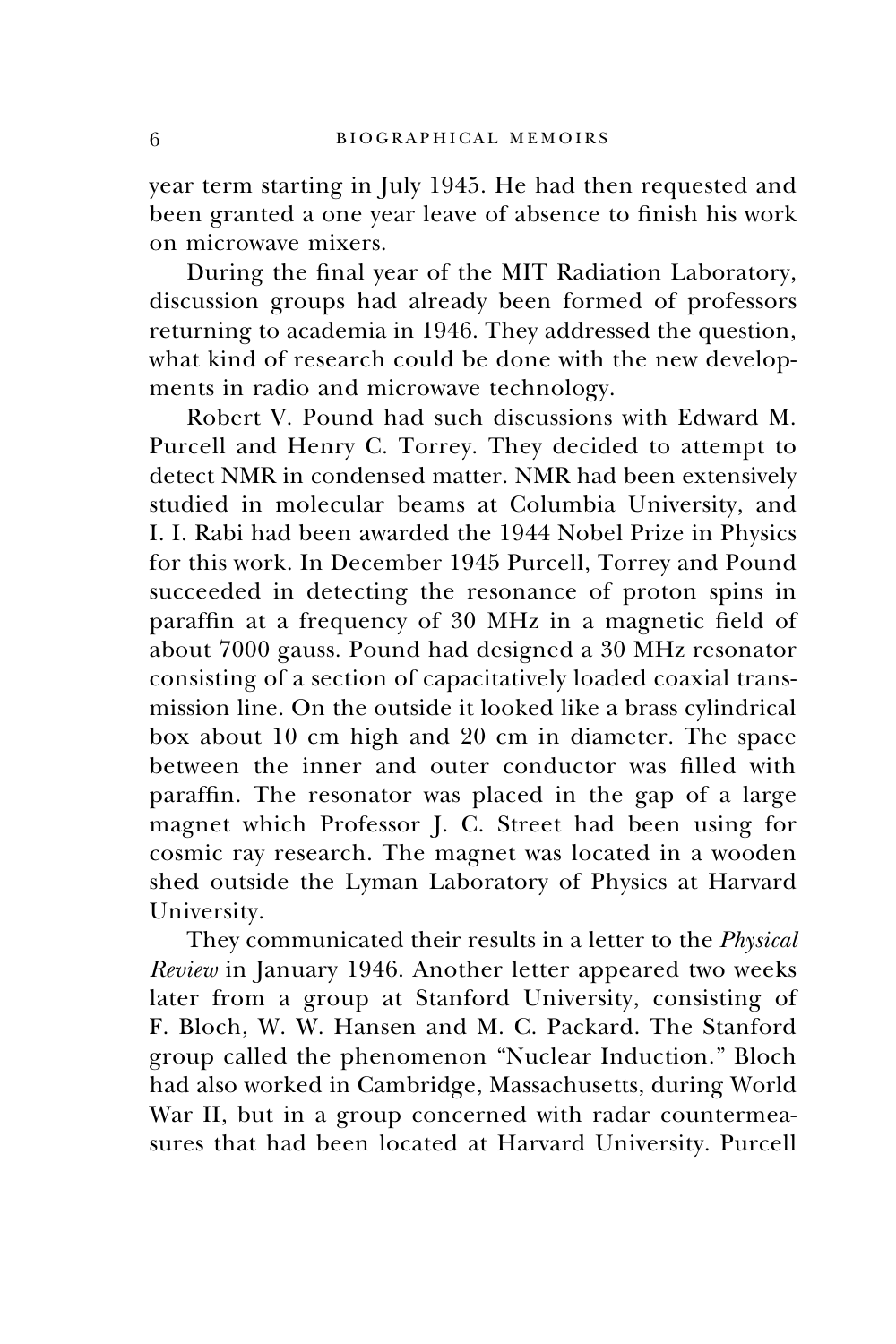year term starting in July 1945. He had then requested and been granted a one year leave of absence to finish his work on microwave mixers.

During the final year of the MIT Radiation Laboratory, discussion groups had already been formed of professors returning to academia in 1946. They addressed the question, what kind of research could be done with the new developments in radio and microwave technology.

Robert V. Pound had such discussions with Edward M. Purcell and Henry C. Torrey. They decided to attempt to detect NMR in condensed matter. NMR had been extensively studied in molecular beams at Columbia University, and I. I. Rabi had been awarded the 1944 Nobel Prize in Physics for this work. In December 1945 Purcell, Torrey and Pound succeeded in detecting the resonance of proton spins in paraffin at a frequency of 30 MHz in a magnetic field of about 7000 gauss. Pound had designed a 30 MHz resonator consisting of a section of capacitatively loaded coaxial transmission line. On the outside it looked like a brass cylindrical box about 10 cm high and 20 cm in diameter. The space between the inner and outer conductor was filled with paraffin. The resonator was placed in the gap of a large magnet which Professor J. C. Street had been using for cosmic ray research. The magnet was located in a wooden shed outside the Lyman Laboratory of Physics at Harvard University.

They communicated their results in a letter to the *Physical Review* in January 1946. Another letter appeared two weeks later from a group at Stanford University, consisting of F. Bloch, W. W. Hansen and M. C. Packard. The Stanford group called the phenomenon "Nuclear Induction." Bloch had also worked in Cambridge, Massachusetts, during World War II, but in a group concerned with radar countermeasures that had been located at Harvard University. Purcell

6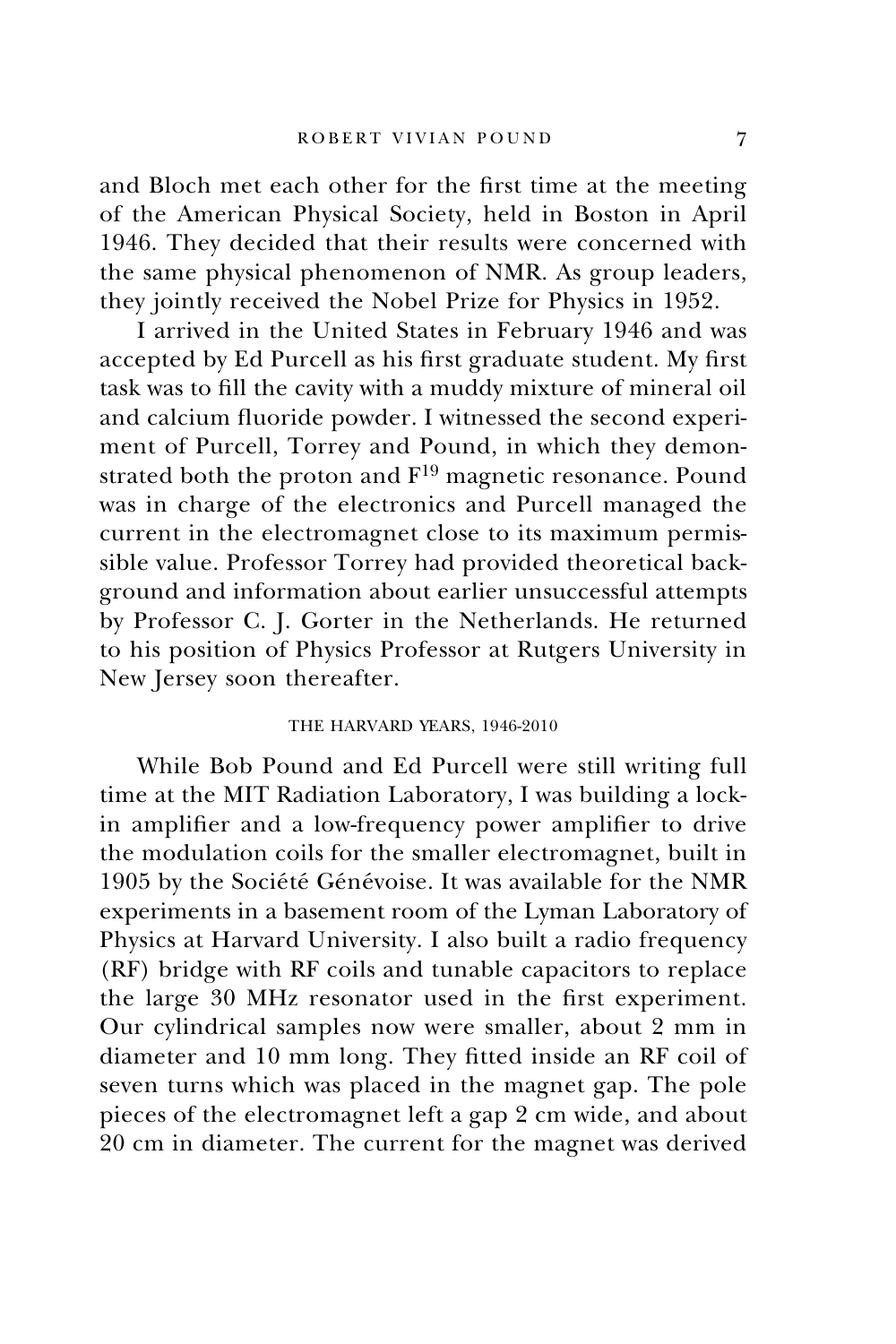and Bloch met each other for the first time at the meeting of the American Physical Society, held in Boston in April 1946. They decided that their results were concerned with the same physical phenomenon of NMR. As group leaders, they jointly received the Nobel Prize for Physics in 1952.

I arrived in the United States in February 1946 and was accepted by Ed Purcell as his first graduate student. My first task was to fill the cavity with a muddy mixture of mineral oil and calcium fluoride powder. I witnessed the second experiment of Purcell, Torrey and Pound, in which they demonstrated both the proton and  $F^{19}$  magnetic resonance. Pound was in charge of the electronics and Purcell managed the current in the electromagnet close to its maximum permissible value. Professor Torrey had provided theoretical background and information about earlier unsuccessful attempts by Professor C. J. Gorter in the Netherlands. He returned to his position of Physics Professor at Rutgers University in New Jersey soon thereafter.

## The Harvard Years, 1946-2010

While Bob Pound and Ed Purcell were still writing full time at the MIT Radiation Laboratory, I was building a lockin amplifier and a low-frequency power amplifier to drive the modulation coils for the smaller electromagnet, built in 1905 by the Société Génévoise. It was available for the NMR experiments in a basement room of the Lyman Laboratory of Physics at Harvard University. I also built a radio frequency (RF) bridge with RF coils and tunable capacitors to replace the large 30 MHz resonator used in the first experiment. Our cylindrical samples now were smaller, about 2 mm in diameter and 10 mm long. They fitted inside an RF coil of seven turns which was placed in the magnet gap. The pole pieces of the electromagnet left a gap 2 cm wide, and about 20 cm in diameter. The current for the magnet was derived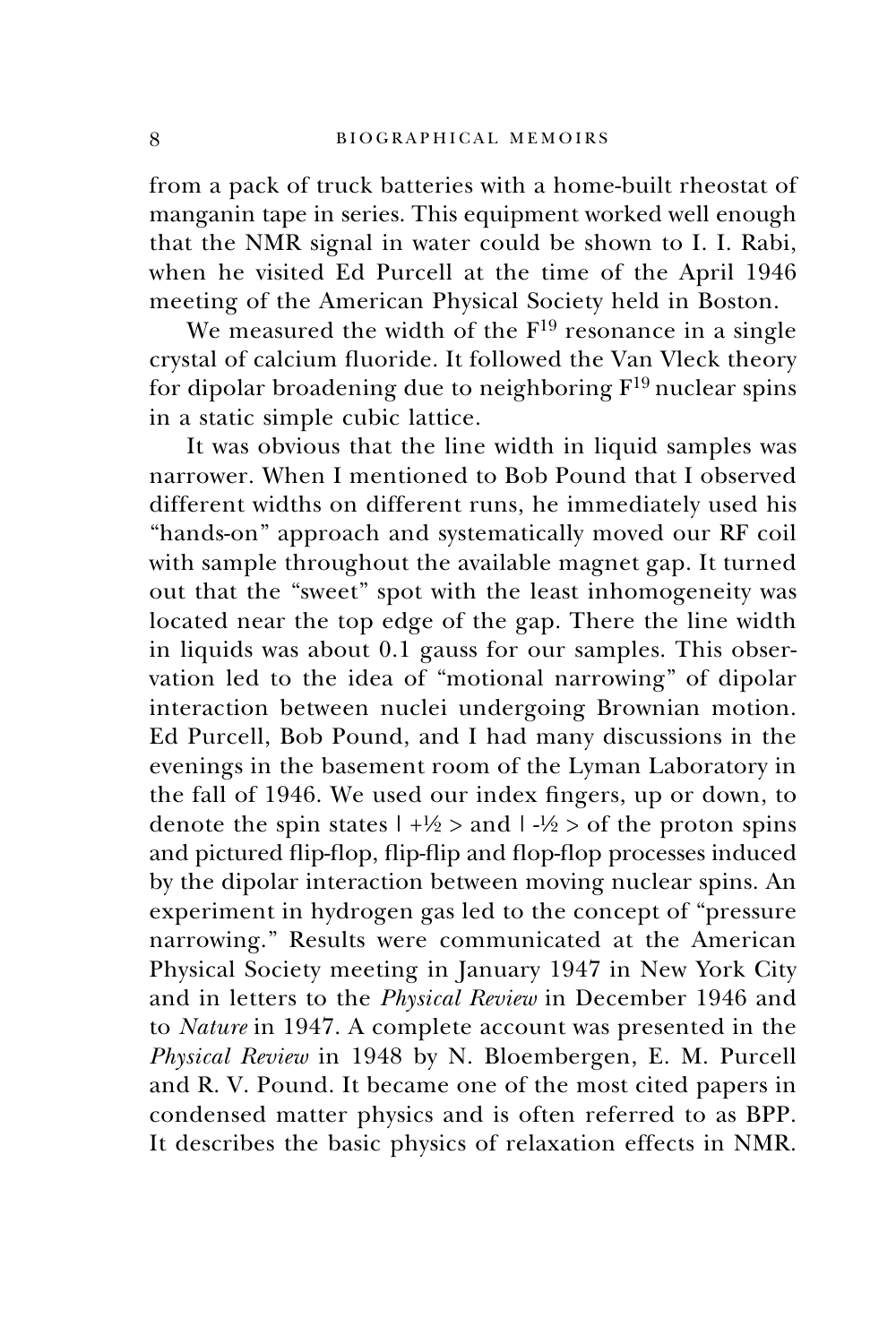from a pack of truck batteries with a home-built rheostat of manganin tape in series. This equipment worked well enough that the NMR signal in water could be shown to I. I. Rabi, when he visited Ed Purcell at the time of the April 1946 meeting of the American Physical Society held in Boston.

We measured the width of the  $F^{19}$  resonance in a single crystal of calcium fluoride. It followed the Van Vleck theory for dipolar broadening due to neighboring  $F^{19}$  nuclear spins in a static simple cubic lattice.

It was obvious that the line width in liquid samples was narrower. When I mentioned to Bob Pound that I observed different widths on different runs, he immediately used his "hands-on" approach and systematically moved our RF coil with sample throughout the available magnet gap. It turned out that the "sweet" spot with the least inhomogeneity was located near the top edge of the gap. There the line width in liquids was about 0.1 gauss for our samples. This observation led to the idea of "motional narrowing" of dipolar interaction between nuclei undergoing Brownian motion. Ed Purcell, Bob Pound, and I had many discussions in the evenings in the basement room of the Lyman Laboratory in the fall of 1946. We used our index fingers, up or down, to denote the spin states  $| + \frac{1}{2} >$  and  $| - \frac{1}{2} >$  of the proton spins and pictured flip-flop, flip-flip and flop-flop processes induced by the dipolar interaction between moving nuclear spins. An experiment in hydrogen gas led to the concept of "pressure narrowing." Results were communicated at the American Physical Society meeting in January 1947 in New York City and in letters to the *Physical Review* in December 1946 and to *Nature* in 1947. A complete account was presented in the *Physical Review* in 1948 by N. Bloembergen, E. M. Purcell and R. V. Pound. It became one of the most cited papers in condensed matter physics and is often referred to as BPP. It describes the basic physics of relaxation effects in NMR.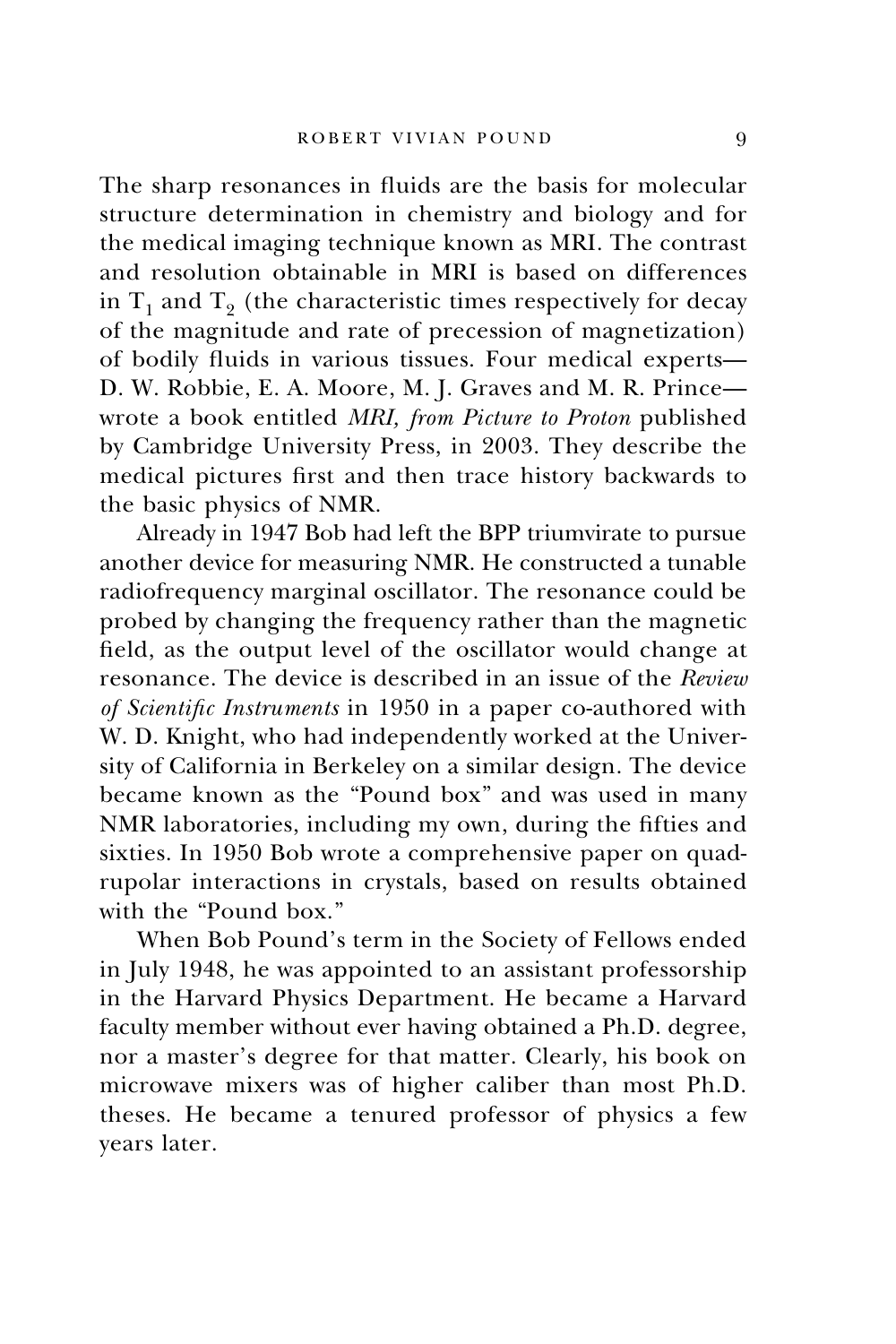The sharp resonances in fluids are the basis for molecular structure determination in chemistry and biology and for the medical imaging technique known as MRI. The contrast and resolution obtainable in MRI is based on differences in  $T_1$  and  $T_2$  (the characteristic times respectively for decay of the magnitude and rate of precession of magnetization) of bodily fluids in various tissues. Four medical experts— D. W. Robbie, E. A. Moore, M. J. Graves and M. R. Prince wrote a book entitled *MRI, from Picture to Proton* published by Cambridge University Press, in 2003. They describe the medical pictures first and then trace history backwards to the basic physics of NMR.

Already in 1947 Bob had left the BPP triumvirate to pursue another device for measuring NMR. He constructed a tunable radiofrequency marginal oscillator. The resonance could be probed by changing the frequency rather than the magnetic field, as the output level of the oscillator would change at resonance. The device is described in an issue of the *Review of Scientific Instruments* in 1950 in a paper co-authored with W. D. Knight, who had independently worked at the University of California in Berkeley on a similar design. The device became known as the "Pound box" and was used in many NMR laboratories, including my own, during the fifties and sixties. In 1950 Bob wrote a comprehensive paper on quadrupolar interactions in crystals, based on results obtained with the "Pound box."

When Bob Pound's term in the Society of Fellows ended in July 1948, he was appointed to an assistant professorship in the Harvard Physics Department. He became a Harvard faculty member without ever having obtained a Ph.D. degree, nor a master's degree for that matter. Clearly, his book on microwave mixers was of higher caliber than most Ph.D. theses. He became a tenured professor of physics a few years later.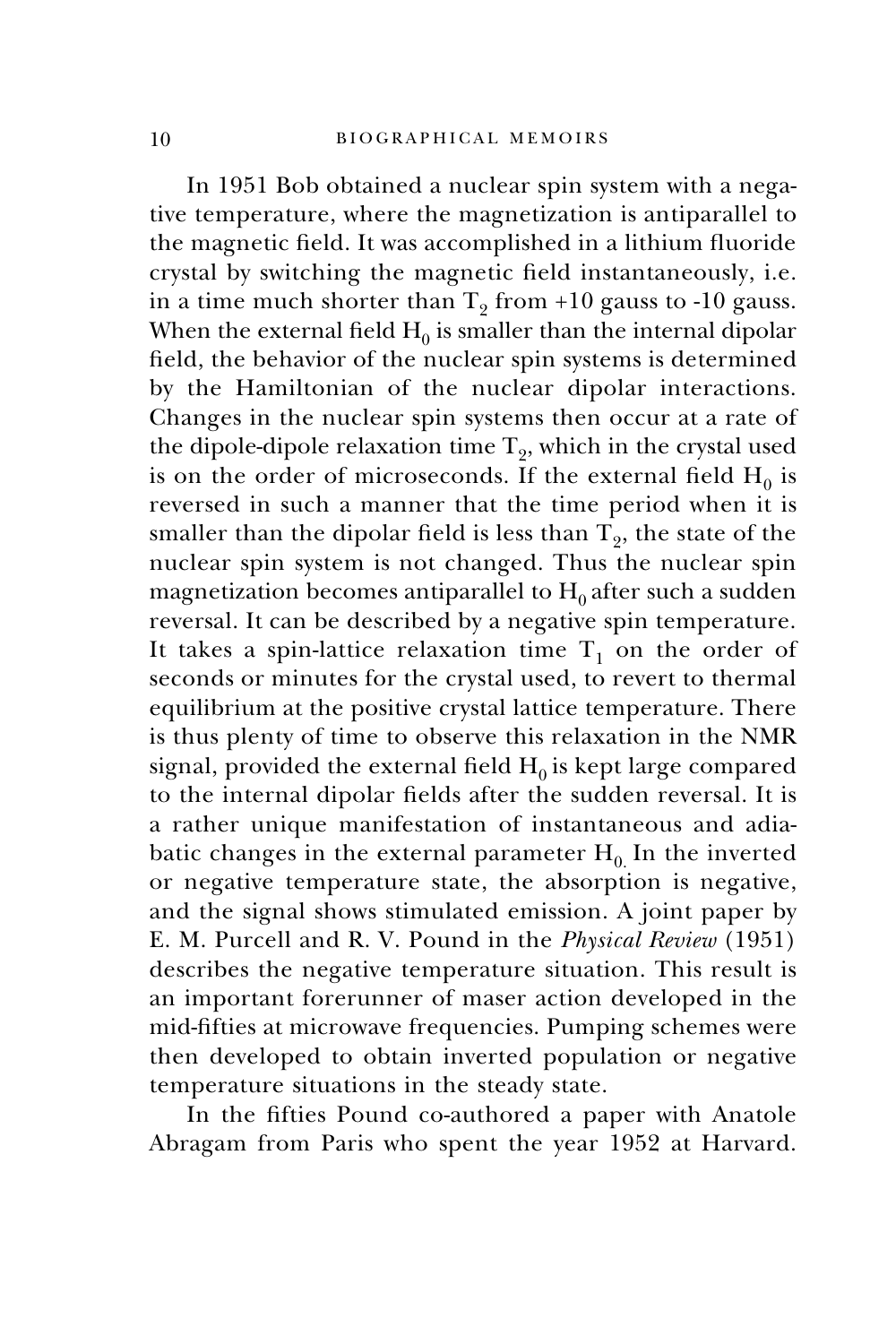In 1951 Bob obtained a nuclear spin system with a negative temperature, where the magnetization is antiparallel to the magnetic field. It was accomplished in a lithium fluoride crystal by switching the magnetic field instantaneously, i.e. in a time much shorter than  $T_2$  from  $+10$  gauss to  $-10$  gauss. When the external field  $H_0$  is smaller than the internal dipolar field, the behavior of the nuclear spin systems is determined by the Hamiltonian of the nuclear dipolar interactions. Changes in the nuclear spin systems then occur at a rate of the dipole-dipole relaxation time  $T<sub>9</sub>$ , which in the crystal used is on the order of microseconds. If the external field  $H_0$  is reversed in such a manner that the time period when it is smaller than the dipolar field is less than  $T<sub>9</sub>$ , the state of the nuclear spin system is not changed. Thus the nuclear spin magnetization becomes antiparallel to  $H_0$  after such a sudden reversal. It can be described by a negative spin temperature. It takes a spin-lattice relaxation time  $T_1$  on the order of seconds or minutes for the crystal used, to revert to thermal equilibrium at the positive crystal lattice temperature. There is thus plenty of time to observe this relaxation in the NMR signal, provided the external field  $H_0$  is kept large compared to the internal dipolar fields after the sudden reversal. It is a rather unique manifestation of instantaneous and adiabatic changes in the external parameter  $H_0$  In the inverted or negative temperature state, the absorption is negative, and the signal shows stimulated emission. A joint paper by E. M. Purcell and R. V. Pound in the *Physical Review* (1951) describes the negative temperature situation. This result is an important forerunner of maser action developed in the mid-fifties at microwave frequencies. Pumping schemes were then developed to obtain inverted population or negative temperature situations in the steady state.

In the fifties Pound co-authored a paper with Anatole Abragam from Paris who spent the year 1952 at Harvard.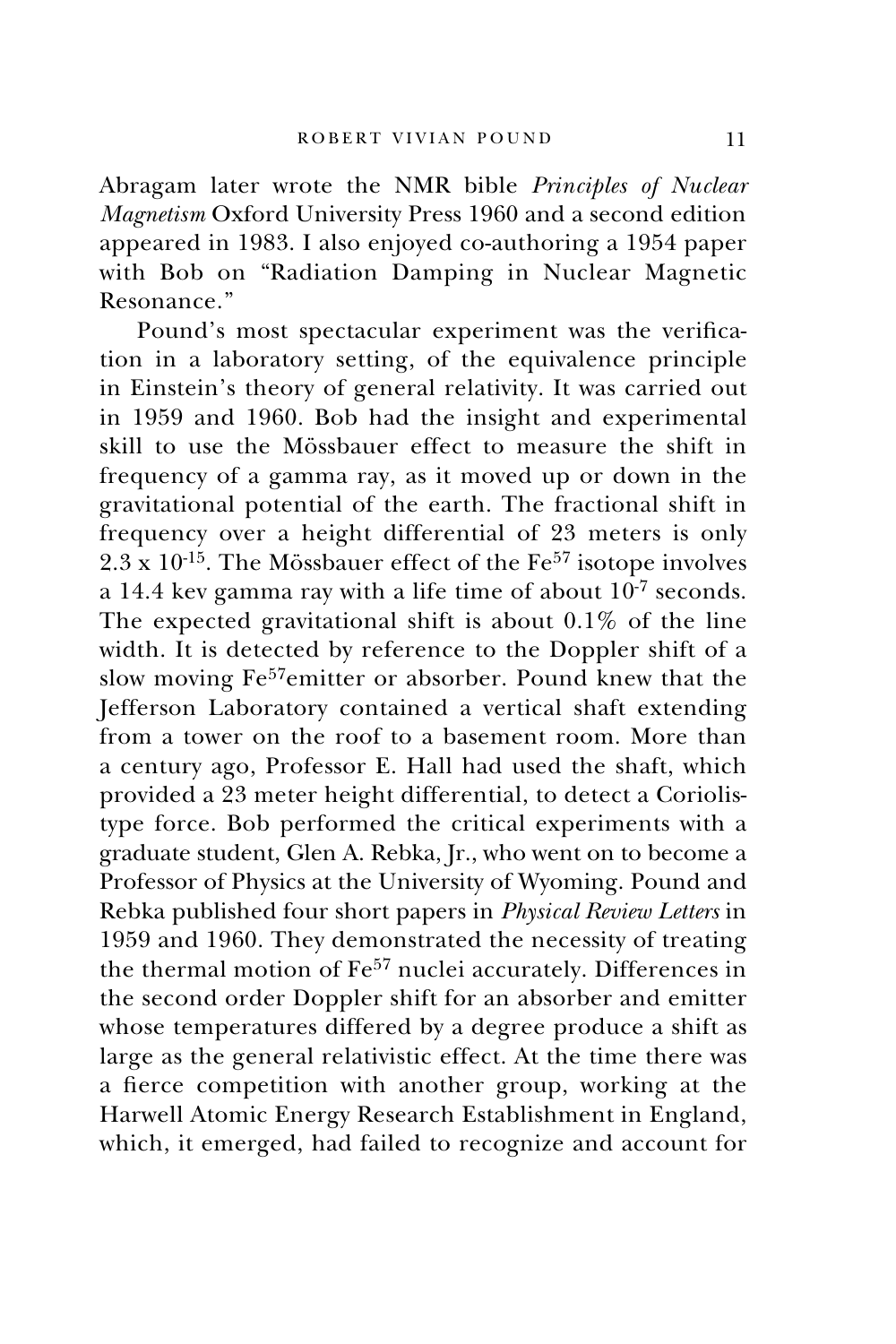Abragam later wrote the NMR bible *Principles of Nuclear Magnetism* Oxford University Press 1960 and a second edition appeared in 1983. I also enjoyed co-authoring a 1954 paper with Bob on "Radiation Damping in Nuclear Magnetic Resonance."

Pound's most spectacular experiment was the verification in a laboratory setting, of the equivalence principle in Einstein's theory of general relativity. It was carried out in 1959 and 1960. Bob had the insight and experimental skill to use the Mössbauer effect to measure the shift in frequency of a gamma ray, as it moved up or down in the gravitational potential of the earth. The fractional shift in frequency over a height differential of 23 meters is only  $2.3 \times 10^{-15}$ . The Mössbauer effect of the Fe<sup>57</sup> isotope involves a 14.4 kev gamma ray with a life time of about  $10^{-7}$  seconds. The expected gravitational shift is about 0.1% of the line width. It is detected by reference to the Doppler shift of a slow moving Fe<sup>57</sup>emitter or absorber. Pound knew that the Jefferson Laboratory contained a vertical shaft extending from a tower on the roof to a basement room. More than a century ago, Professor E. Hall had used the shaft, which provided a 23 meter height differential, to detect a Coriolistype force. Bob performed the critical experiments with a graduate student, Glen A. Rebka, Jr., who went on to become a Professor of Physics at the University of Wyoming. Pound and Rebka published four short papers in *Physical Review Letters* in 1959 and 1960. They demonstrated the necessity of treating the thermal motion of Fe57 nuclei accurately. Differences in the second order Doppler shift for an absorber and emitter whose temperatures differed by a degree produce a shift as large as the general relativistic effect. At the time there was a fierce competition with another group, working at the Harwell Atomic Energy Research Establishment in England, which, it emerged, had failed to recognize and account for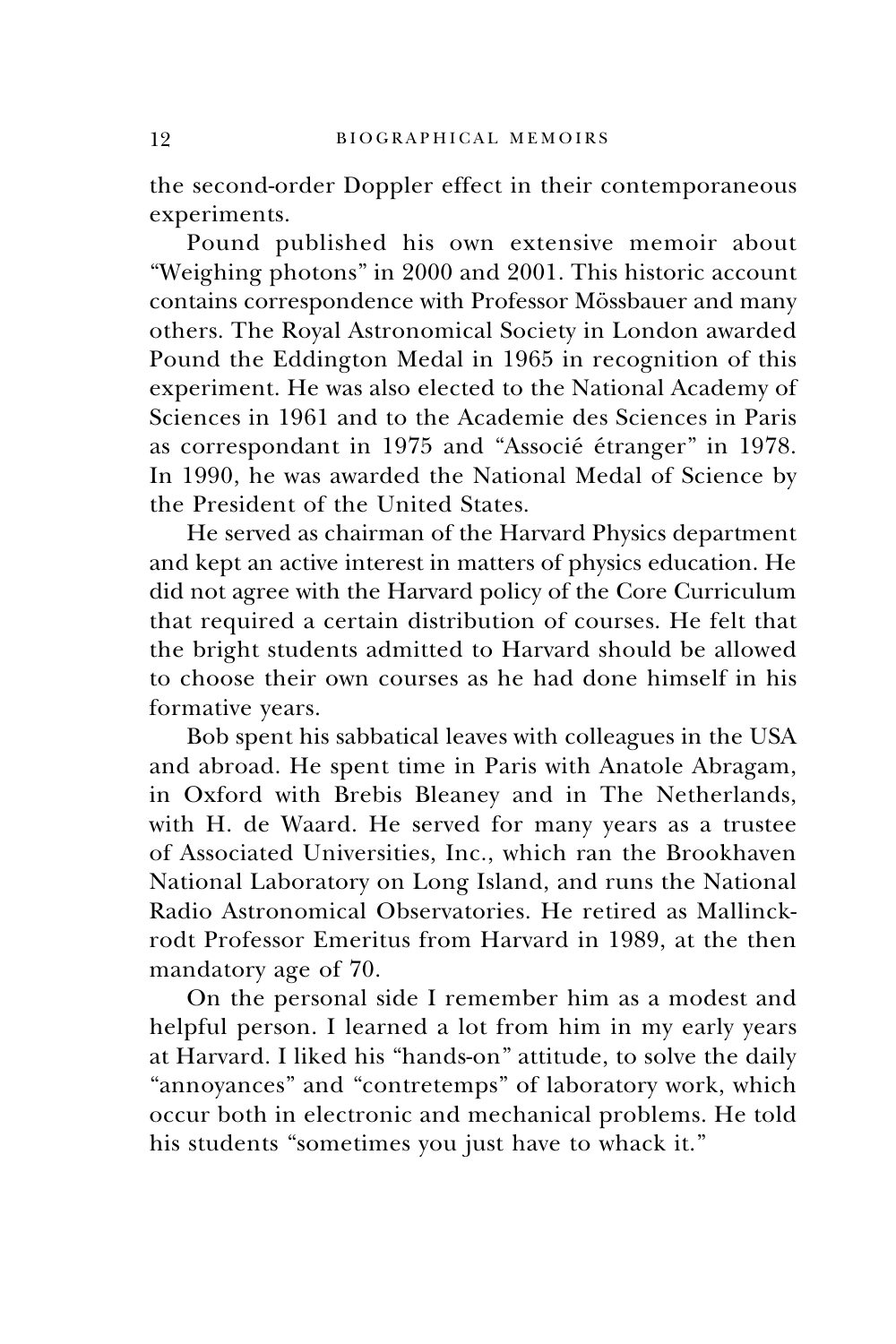the second-order Doppler effect in their contemporaneous experiments.

Pound published his own extensive memoir about "Weighing photons" in 2000 and 2001. This historic account contains correspondence with Professor Mössbauer and many others. The Royal Astronomical Society in London awarded Pound the Eddington Medal in 1965 in recognition of this experiment. He was also elected to the National Academy of Sciences in 1961 and to the Academie des Sciences in Paris as correspondant in 1975 and "Associé étranger" in 1978. In 1990, he was awarded the National Medal of Science by the President of the United States.

He served as chairman of the Harvard Physics department and kept an active interest in matters of physics education. He did not agree with the Harvard policy of the Core Curriculum that required a certain distribution of courses. He felt that the bright students admitted to Harvard should be allowed to choose their own courses as he had done himself in his formative years.

Bob spent his sabbatical leaves with colleagues in the USA and abroad. He spent time in Paris with Anatole Abragam, in Oxford with Brebis Bleaney and in The Netherlands, with H. de Waard. He served for many years as a trustee of Associated Universities, Inc., which ran the Brookhaven National Laboratory on Long Island, and runs the National Radio Astronomical Observatories. He retired as Mallinckrodt Professor Emeritus from Harvard in 1989, at the then mandatory age of 70.

On the personal side I remember him as a modest and helpful person. I learned a lot from him in my early years at Harvard. I liked his "hands-on" attitude, to solve the daily "annoyances" and "contretemps" of laboratory work, which occur both in electronic and mechanical problems. He told his students "sometimes you just have to whack it."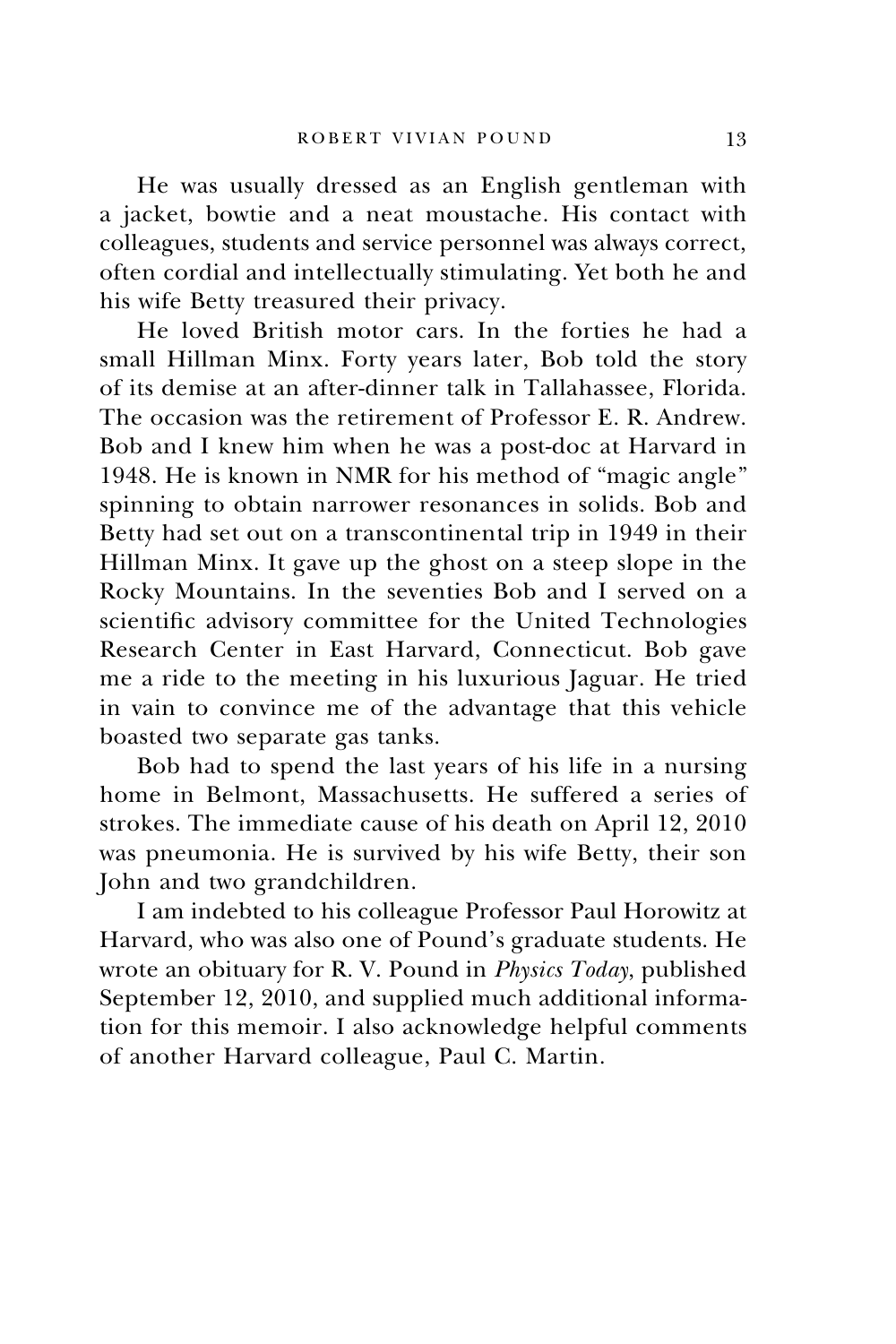He was usually dressed as an English gentleman with a jacket, bowtie and a neat moustache. His contact with colleagues, students and service personnel was always correct, often cordial and intellectually stimulating. Yet both he and his wife Betty treasured their privacy.

He loved British motor cars. In the forties he had a small Hillman Minx. Forty years later, Bob told the story of its demise at an after-dinner talk in Tallahassee, Florida. The occasion was the retirement of Professor E. R. Andrew. Bob and I knew him when he was a post-doc at Harvard in 1948. He is known in NMR for his method of "magic angle" spinning to obtain narrower resonances in solids. Bob and Betty had set out on a transcontinental trip in 1949 in their Hillman Minx. It gave up the ghost on a steep slope in the Rocky Mountains. In the seventies Bob and I served on a scientific advisory committee for the United Technologies Research Center in East Harvard, Connecticut. Bob gave me a ride to the meeting in his luxurious Jaguar. He tried in vain to convince me of the advantage that this vehicle boasted two separate gas tanks.

Bob had to spend the last years of his life in a nursing home in Belmont, Massachusetts. He suffered a series of strokes. The immediate cause of his death on April 12, 2010 was pneumonia. He is survived by his wife Betty, their son John and two grandchildren.

I am indebted to his colleague Professor Paul Horowitz at Harvard, who was also one of Pound's graduate students. He wrote an obituary for R. V. Pound in *Physics Today*, published September 12, 2010, and supplied much additional information for this memoir. I also acknowledge helpful comments of another Harvard colleague, Paul C. Martin.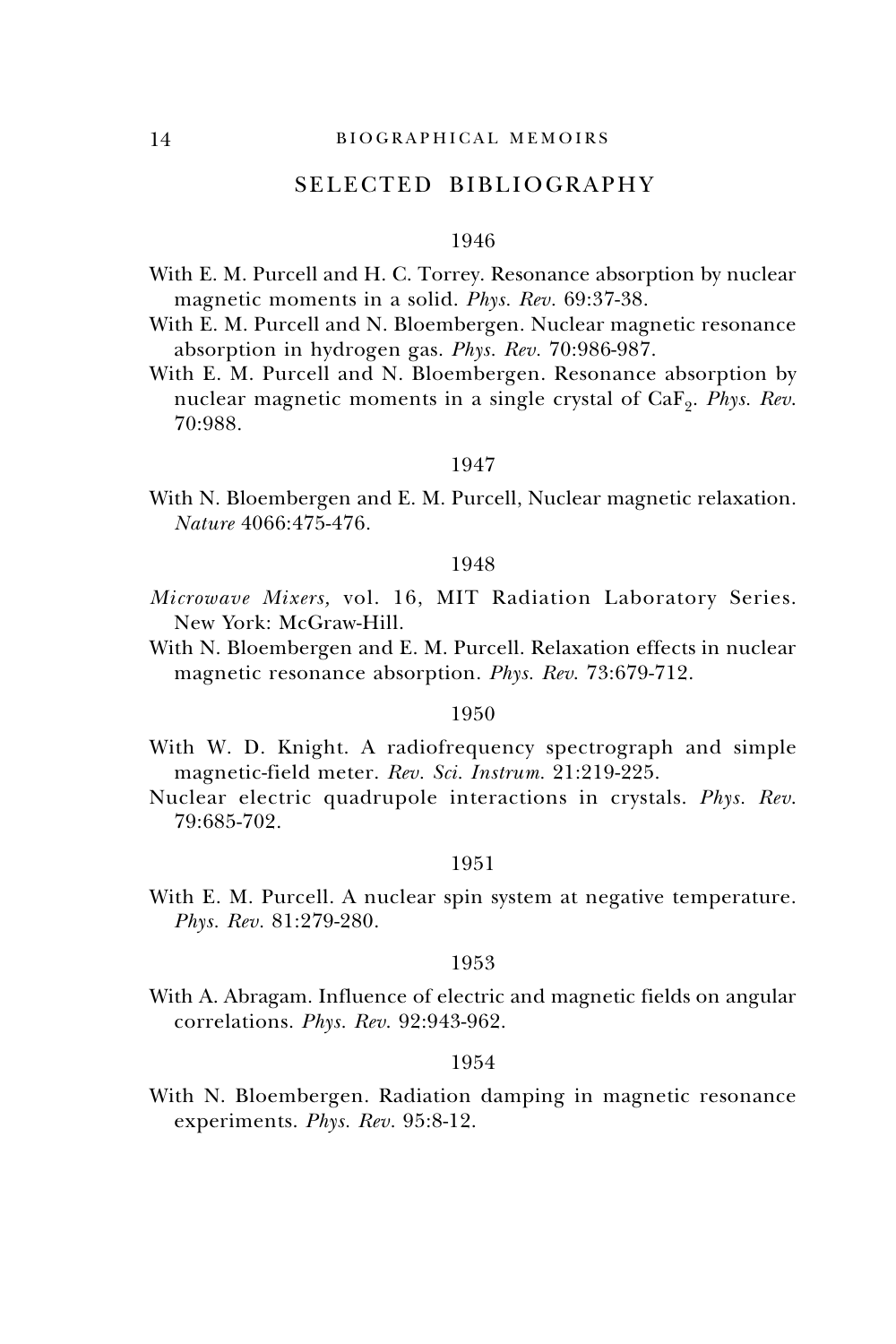## 14 BIOGRAPHICAL MEMOIRS

## SELECTED BIBLIOGRAPHY

## 1946

- With E. M. Purcell and H. C. Torrey. Resonance absorption by nuclear magnetic moments in a solid. *Phys. Rev.* 69:37-38.
- With E. M. Purcell and N. Bloembergen. Nuclear magnetic resonance absorption in hydrogen gas. *Phys. Rev.* 70:986-987.
- With E. M. Purcell and N. Bloembergen. Resonance absorption by nuclear magnetic moments in a single crystal of CaF<sub>2</sub>. *Phys. Rev.* 70:988.

## 1947

With N. Bloembergen and E. M. Purcell, Nuclear magnetic relaxation. *Nature* 4066:475-476.

## 1948

- *Microwave Mixers,* vol. 16, MIT Radiation Laboratory Series. New York: McGraw-Hill.
- With N. Bloembergen and E. M. Purcell. Relaxation effects in nuclear magnetic resonance absorption. *Phys. Rev*. 73:679-712.

## 1950

- With W. D. Knight. A radiofrequency spectrograph and simple magnetic-field meter. *Rev. Sci. Instrum.* 21:219-225.
- Nuclear electric quadrupole interactions in crystals. *Phys. Rev*. 79:685-702.

## 1951

With E. M. Purcell. A nuclear spin system at negative temperature. *Phys. Rev.* 81:279-280.

## 1953

With A. Abragam. Influence of electric and magnetic fields on angular correlations. *Phys. Rev*. 92:943-962.

### 1954

With N. Bloembergen. Radiation damping in magnetic resonance experiments. *Phys. Rev.* 95:8-12.